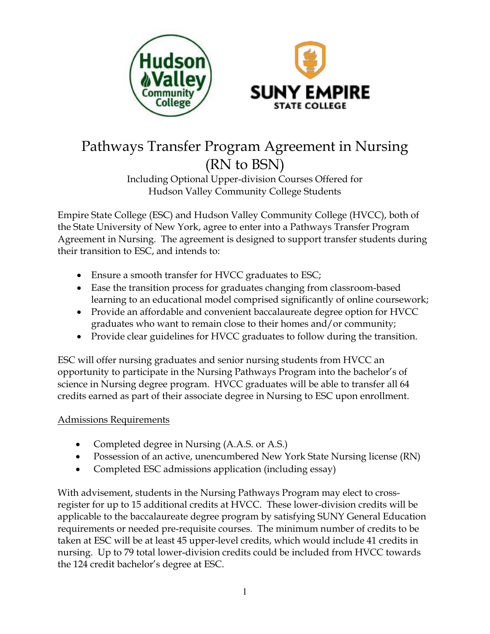



# Pathways Transfer Program Agreement in Nursing (RN to BSN)

Including Optional Upper-division Courses Offered for Hudson Valley Community College Students

Empire State College (ESC) and Hudson Valley Community College (HVCC), both of the State University of New York, agree to enter into a Pathways Transfer Program Agreement in Nursing. The agreement is designed to support transfer students during their transition to ESC, and intends to:

- Ensure a smooth transfer for HVCC graduates to ESC;
- Ease the transition process for graduates changing from classroom-based learning to an educational model comprised significantly of online coursework;
- Provide an affordable and convenient baccalaureate degree option for HVCC graduates who want to remain close to their homes and/or community;
- Provide clear guidelines for HVCC graduates to follow during the transition.

ESC will offer nursing graduates and senior nursing students from HVCC an opportunity to participate in the Nursing Pathways Program into the bachelor's of science in Nursing degree program. HVCC graduates will be able to transfer all 64 credits earned as part of their associate degree in Nursing to ESC upon enrollment.

## Admissions Requirements

- x Completed degree in Nursing (A.A.S. or A.S.)
- Possession of an active, unencumbered New York State Nursing license (RN)
- Completed ESC admissions application (including essay)

With advisement, students in the Nursing Pathways Program may elect to crossregister for up to 15 additional credits at HVCC. These lower-division credits will be applicable to the baccalaureate degree program by satisfying SUNY General Education requirements or needed pre-requisite courses. The minimum number of credits to be taken at ESC will be at least 45 upper-level credits, which would include 41 credits in nursing. Up to 79 total lower-division credits could be included from HVCC towards the 124 credit bachelor's degree at ESC.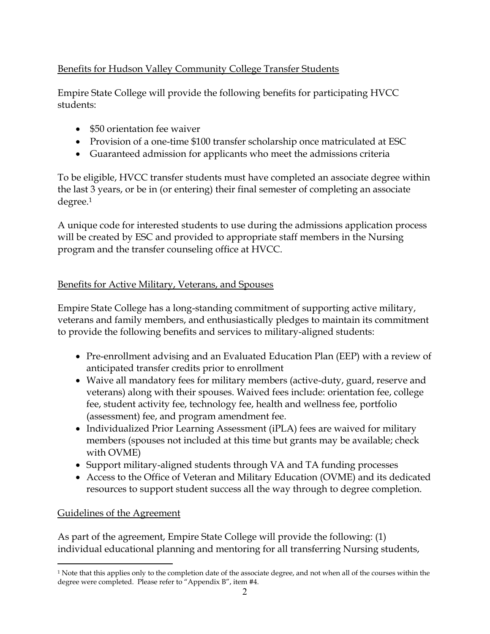# Benefits for Hudson Valley Community College Transfer Students

Empire State College will provide the following benefits for participating HVCC students:

- \$50 orientation fee waiver
- Provision of a one-time \$100 transfer scholarship once matriculated at ESC
- Guaranteed admission for applicants who meet the admissions criteria

To be eligible, HVCC transfer students must have completed an associate degree within the last 3 years, or be in (or entering) their final semester of completing an associate degree.1

A unique code for interested students to use during the admissions application process will be created by ESC and provided to appropriate staff members in the Nursing program and the transfer counseling office at HVCC.

## Benefits for Active Military, Veterans, and Spouses

Empire State College has a long-standing commitment of supporting active military, veterans and family members, and enthusiastically pledges to maintain its commitment to provide the following benefits and services to military-aligned students:

- Pre-enrollment advising and an Evaluated Education Plan (EEP) with a review of anticipated transfer credits prior to enrollment
- Waive all mandatory fees for military members (active-duty, guard, reserve and veterans) along with their spouses. Waived fees include: orientation fee, college fee, student activity fee, technology fee, health and wellness fee, portfolio (assessment) fee, and program amendment fee.
- Individualized Prior Learning Assessment (iPLA) fees are waived for military members (spouses not included at this time but grants may be available; check with OVME)
- Support military-aligned students through VA and TA funding processes
- Access to the Office of Veteran and Military Education (OVME) and its dedicated resources to support student success all the way through to degree completion.

# Guidelines of the Agreement

As part of the agreement, Empire State College will provide the following: (1) individual educational planning and mentoring for all transferring Nursing students,

 $\overline{a}$ <sup>1</sup> Note that this applies only to the completion date of the associate degree, and not when all of the courses within the degree were completed. Please refer to "Appendix B", item #4.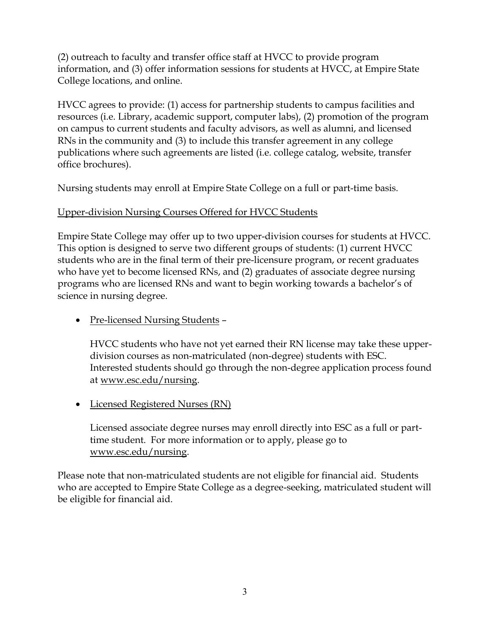(2) outreach to faculty and transfer office staff at HVCC to provide program information, and (3) offer information sessions for students at HVCC, at Empire State College locations, and online.

HVCC agrees to provide: (1) access for partnership students to campus facilities and resources (i.e. Library, academic support, computer labs), (2) promotion of the program on campus to current students and faculty advisors, as well as alumni, and licensed RNs in the community and (3) to include this transfer agreement in any college publications where such agreements are listed (i.e. college catalog, website, transfer office brochures).

Nursing students may enroll at Empire State College on a full or part-time basis.

## Upper-division Nursing Courses Offered for HVCC Students

Empire State College may offer up to two upper-division courses for students at HVCC. This option is designed to serve two different groups of students: (1) current HVCC students who are in the final term of their pre-licensure program, or recent graduates who have yet to become licensed RNs, and (2) graduates of associate degree nursing programs who are licensed RNs and want to begin working towards a bachelor's of science in nursing degree.

• Pre-licensed Nursing Students -

HVCC students who have not yet earned their RN license may take these upperdivision courses as non-matriculated (non-degree) students with ESC. Interested students should go through the non-degree application process found at www.esc.edu/nursing.

• Licensed Registered Nurses (RN)

Licensed associate degree nurses may enroll directly into ESC as a full or parttime student. For more information or to apply, please go to www.esc.edu/nursing.

Please note that non-matriculated students are not eligible for financial aid. Students who are accepted to Empire State College as a degree-seeking, matriculated student will be eligible for financial aid.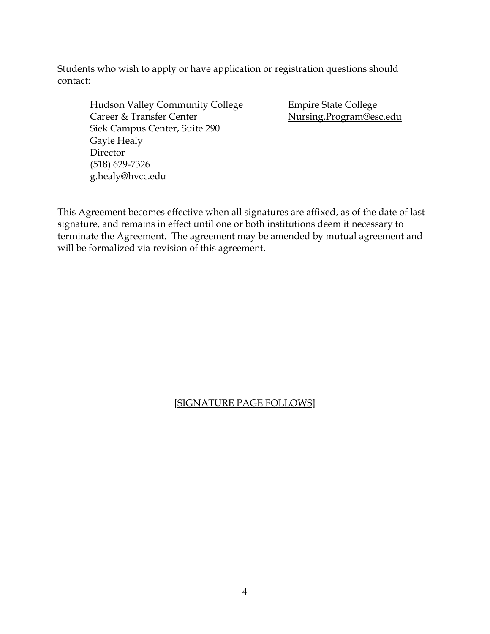Students who wish to apply or have application or registration questions should contact:

Hudson Valley Community College Empire State College Career & Transfer Center Nursing.Program@esc.edu Siek Campus Center, Suite 290 Gayle Healy Director (518) 629-7326 g.healy@hvcc.edu

This Agreement becomes effective when all signatures are affixed, as of the date of last signature, and remains in effect until one or both institutions deem it necessary to terminate the Agreement. The agreement may be amended by mutual agreement and will be formalized via revision of this agreement.

## [SIGNATURE PAGE FOLLOWS]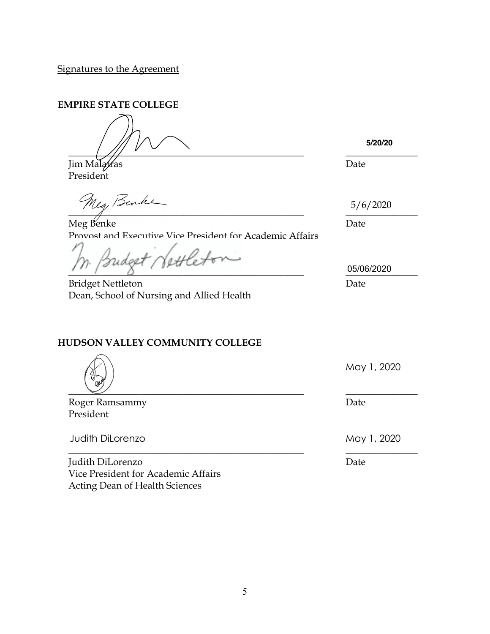Signatures to the Agreement

**EMPIRE STATE COLLEGE**

 $\frac{1}{2}$  ,  $\frac{1}{2}$  ,  $\frac{1}{2}$  ,  $\frac{1}{2}$  ,  $\frac{1}{2}$  ,  $\frac{1}{2}$  ,  $\frac{1}{2}$  ,  $\frac{1}{2}$  ,  $\frac{1}{2}$  ,  $\frac{1}{2}$  ,  $\frac{1}{2}$  ,  $\frac{1}{2}$  ,  $\frac{1}{2}$  ,  $\frac{1}{2}$  ,  $\frac{1}{2}$  ,  $\frac{1}{2}$  ,  $\frac{1}{2}$  ,  $\frac{1}{2}$  ,  $\frac{1$ 

Jim Malatras Date President

 $\frac{1}{\sqrt{1-\frac{1}{2}-\frac{1}{2}-\frac{1}{2}-\frac{1}{2}-\frac{1}{2}-\frac{1}{2}-\frac{1}{2}-\frac{1}{2}-\frac{1}{2}-\frac{1}{2}-\frac{1}{2}-\frac{1}{2}-\frac{1}{2}-\frac{1}{2}-\frac{1}{2}-\frac{1}{2}-\frac{1}{2}-\frac{1}{2}-\frac{1}{2}-\frac{1}{2}-\frac{1}{2}-\frac{1}{2}-\frac{1}{2}-\frac{1}{2}-\frac{1}{2}-\frac{1}{2}-\frac{1}{2}-\frac{1}{2}-\frac{1}{2}-\frac{1}{2}-\$ 

Meg Benke Date Provost and Executive Vice President for Academic Affairs

bettler  $\frac{0.5}{100002020}$ 

Bridget Nettleton Date Dean, School of Nursing and Allied Health

# **HUDSON VALLEY COMMUNITY COLLEGE**

 $\frac{1}{2}$  , and the set of the set of the set of the set of the set of the set of the set of the set of the set of the set of the set of the set of the set of the set of the set of the set of the set of the set of the set

Roger Ramsammy **Date** President

Judith DiLorenzo **May 1, 2020** 

Judith DiLorenzo Date Vice President for Academic Affairs Acting Dean of Health Sciences

**5/20/20**

5/6/2020

05/06/2020

May 1, 2020

\_\_\_\_\_\_\_\_\_\_\_\_\_\_\_\_\_\_\_\_\_\_\_\_\_\_\_\_\_\_\_\_\_\_\_\_\_\_\_\_\_\_\_\_\_\_\_\_\_ \_\_\_\_\_\_\_\_\_\_\_\_\_\_\_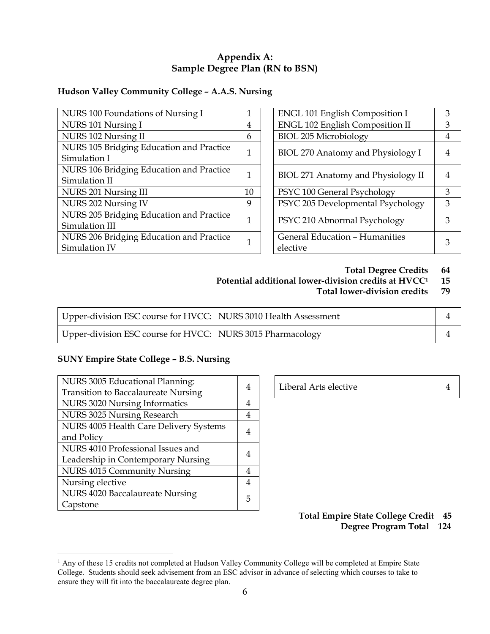## **Appendix A: Sample Degree Plan (RN to BSN)**

## **Hudson Valley Community College – A.A.S. Nursing**

| NURS 100 Foundations of Nursing I        | 1            | <b>ENGL 101 English Composition I</b>  | 3              |
|------------------------------------------|--------------|----------------------------------------|----------------|
| NURS 101 Nursing I                       | 4            | <b>ENGL 102 English Composition II</b> | 3              |
| NURS 102 Nursing II                      | 6            | <b>BIOL 205 Microbiology</b>           | 4              |
| NURS 105 Bridging Education and Practice | $\mathbf{1}$ | BIOL 270 Anatomy and Physiology I      | 4              |
| Simulation I                             |              |                                        |                |
| NURS 106 Bridging Education and Practice | 1            |                                        | $\overline{4}$ |
| Simulation II                            |              | BIOL 271 Anatomy and Physiology II     |                |
| NURS 201 Nursing III                     | 10           | PSYC 100 General Psychology            | 3              |
| NURS 202 Nursing IV                      | 9            | PSYC 205 Developmental Psychology      | 3              |
| NURS 205 Bridging Education and Practice | 1            |                                        | 3              |
| Simulation III                           |              | PSYC 210 Abnormal Psychology           |                |
| NURS 206 Bridging Education and Practice |              | General Education - Humanities         |                |
| Simulation IV                            | $\mathbf 1$  | elective                               | 3              |
|                                          |              |                                        |                |

| <b>ENGL 101 English Composition I</b>             |  |
|---------------------------------------------------|--|
| <b>ENGL 102 English Composition II</b>            |  |
| <b>BIOL 205 Microbiology</b>                      |  |
| BIOL 270 Anatomy and Physiology I                 |  |
| BIOL 271 Anatomy and Physiology II                |  |
| PSYC 100 General Psychology                       |  |
| PSYC 205 Developmental Psychology                 |  |
| PSYC 210 Abnormal Psychology                      |  |
| <b>General Education - Humanities</b><br>elective |  |

#### **Total Degree Credits 64**

**Potential additional lower-division credits at HVCC1 15**

#### **Total lower-division credits 79**

| Upper-division ESC course for HVCC: NURS 3010 Health Assessment |  |
|-----------------------------------------------------------------|--|
| Upper-division ESC course for HVCC: NURS 3015 Pharmacology      |  |

#### **SUNY Empire State College – B.S. Nursing**

| NURS 3005 Educational Planning:            | 4 | Liberal Arts elective | 4 |
|--------------------------------------------|---|-----------------------|---|
| <b>Transition to Baccalaureate Nursing</b> |   |                       |   |
| <b>NURS 3020 Nursing Informatics</b>       | 4 |                       |   |
| NURS 3025 Nursing Research                 | 4 |                       |   |
| NURS 4005 Health Care Delivery Systems     | 4 |                       |   |
| and Policy                                 |   |                       |   |
| NURS 4010 Professional Issues and          | 4 |                       |   |
| Leadership in Contemporary Nursing         |   |                       |   |
| NURS 4015 Community Nursing                | 4 |                       |   |
| Nursing elective                           | 4 |                       |   |
| NURS 4020 Baccalaureate Nursing            | 5 |                       |   |
| Capstone                                   |   |                       |   |

| Liberal Arts elective |  |
|-----------------------|--|
|-----------------------|--|

### **Total Empire State College Credit 45 Degree Program Total 124**

<sup>&</sup>lt;sup>1</sup> Any of these 15 credits not completed at Hudson Valley Community College will be completed at Empire State College. Students should seek advisement from an ESC advisor in advance of selecting which courses to take to ensure they will fit into the baccalaureate degree plan.